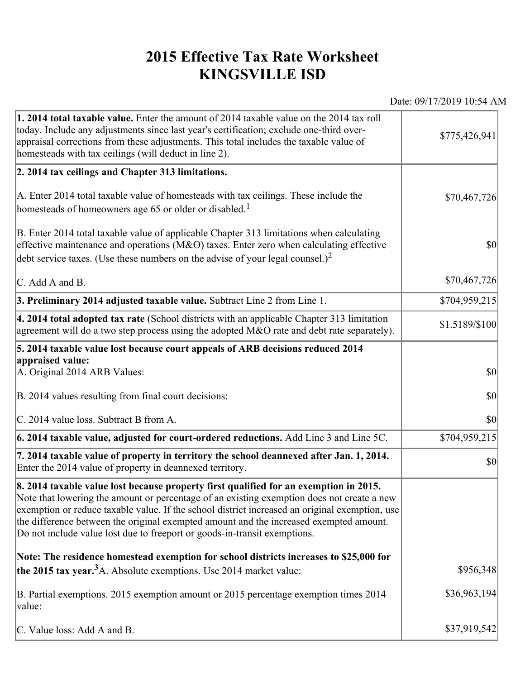## **2015 Effective Tax Rate Worksheet KINGSVILLE ISD**

Date: 09/17/2019 10:54 AM

| 1. 2014 total taxable value. Enter the amount of 2014 taxable value on the 2014 tax roll<br>today. Include any adjustments since last year's certification; exclude one-third over-<br>appraisal corrections from these adjustments. This total includes the taxable value of<br>homesteads with tax ceilings (will deduct in line 2).                                                                                                                       | \$775,426,941  |
|--------------------------------------------------------------------------------------------------------------------------------------------------------------------------------------------------------------------------------------------------------------------------------------------------------------------------------------------------------------------------------------------------------------------------------------------------------------|----------------|
| 2. 2014 tax ceilings and Chapter 313 limitations.                                                                                                                                                                                                                                                                                                                                                                                                            |                |
| A. Enter 2014 total taxable value of homesteads with tax ceilings. These include the<br>homesteads of homeowners age 65 or older or disabled. <sup>1</sup>                                                                                                                                                                                                                                                                                                   | \$70,467,726   |
| B. Enter 2014 total taxable value of applicable Chapter 313 limitations when calculating<br>effective maintenance and operations ( $M&O$ ) taxes. Enter zero when calculating effective<br>debt service taxes. (Use these numbers on the advise of your legal counsel.) <sup>2</sup>                                                                                                                                                                         | $ 10\rangle$   |
| C. Add A and B.                                                                                                                                                                                                                                                                                                                                                                                                                                              | \$70,467,726   |
| 3. Preliminary 2014 adjusted taxable value. Subtract Line 2 from Line 1.                                                                                                                                                                                                                                                                                                                                                                                     | \$704,959,215  |
| $\vert$ 4. 2014 total adopted tax rate (School districts with an applicable Chapter 313 limitation<br>agreement will do a two step process using the adopted M&O rate and debt rate separately).                                                                                                                                                                                                                                                             | \$1.5189/\$100 |
| 5. 2014 taxable value lost because court appeals of ARB decisions reduced 2014                                                                                                                                                                                                                                                                                                                                                                               |                |
| appraised value:<br>A. Original 2014 ARB Values:                                                                                                                                                                                                                                                                                                                                                                                                             | $ 10\rangle$   |
| B. 2014 values resulting from final court decisions:                                                                                                                                                                                                                                                                                                                                                                                                         | \$0            |
| C. 2014 value loss. Subtract B from A.                                                                                                                                                                                                                                                                                                                                                                                                                       | $ 10\rangle$   |
| 6. 2014 taxable value, adjusted for court-ordered reductions. Add Line 3 and Line 5C.                                                                                                                                                                                                                                                                                                                                                                        | \$704,959,215  |
| 7. 2014 taxable value of property in territory the school deannexed after Jan. 1, 2014.<br>Enter the 2014 value of property in deannexed territory.                                                                                                                                                                                                                                                                                                          | $ 10\rangle$   |
| 8. 2014 taxable value lost because property first qualified for an exemption in 2015.<br>Note that lowering the amount or percentage of an existing exemption does not create a new<br>exemption or reduce taxable value. If the school district increased an original exemption, use<br>the difference between the original exempted amount and the increased exempted amount.<br>Do not include value lost due to freeport or goods-in-transit exemptions. |                |
| Note: The residence homestead exemption for school districts increases to \$25,000 for                                                                                                                                                                                                                                                                                                                                                                       |                |
| the 2015 tax year. <sup>3</sup> A. Absolute exemptions. Use 2014 market value:                                                                                                                                                                                                                                                                                                                                                                               | \$956,348      |
| B. Partial exemptions. 2015 exemption amount or 2015 percentage exemption times 2014<br>value:                                                                                                                                                                                                                                                                                                                                                               | \$36,963,194   |
| C. Value loss: Add A and B.                                                                                                                                                                                                                                                                                                                                                                                                                                  | \$37,919,542   |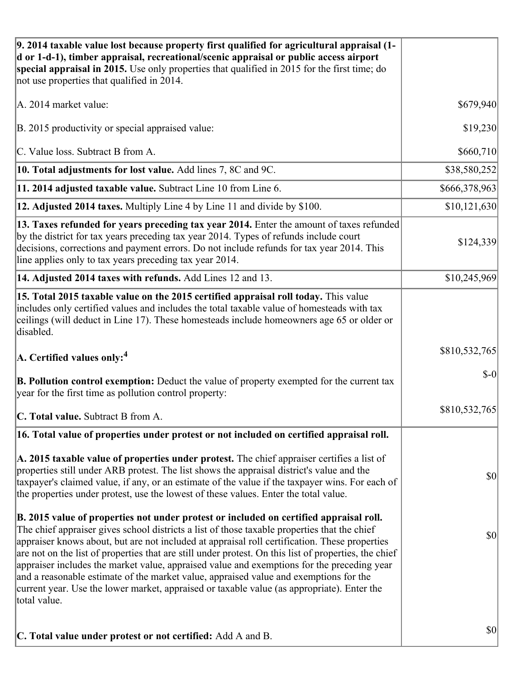| 9. 2014 taxable value lost because property first qualified for agricultural appraisal (1-<br>d or 1-d-1), timber appraisal, recreational/scenic appraisal or public access airport<br>special appraisal in 2015. Use only properties that qualified in 2015 for the first time; do<br>not use properties that qualified in 2014.                                                                                                                                                                                                                                                                                                                                                                     |               |
|-------------------------------------------------------------------------------------------------------------------------------------------------------------------------------------------------------------------------------------------------------------------------------------------------------------------------------------------------------------------------------------------------------------------------------------------------------------------------------------------------------------------------------------------------------------------------------------------------------------------------------------------------------------------------------------------------------|---------------|
| A. 2014 market value:                                                                                                                                                                                                                                                                                                                                                                                                                                                                                                                                                                                                                                                                                 | \$679,940     |
| B. 2015 productivity or special appraised value:                                                                                                                                                                                                                                                                                                                                                                                                                                                                                                                                                                                                                                                      | \$19,230      |
| C. Value loss. Subtract B from A.                                                                                                                                                                                                                                                                                                                                                                                                                                                                                                                                                                                                                                                                     | \$660,710     |
| 10. Total adjustments for lost value. Add lines 7, 8C and 9C.                                                                                                                                                                                                                                                                                                                                                                                                                                                                                                                                                                                                                                         | \$38,580,252  |
| 11. 2014 adjusted taxable value. Subtract Line 10 from Line 6.                                                                                                                                                                                                                                                                                                                                                                                                                                                                                                                                                                                                                                        | \$666,378,963 |
| 12. Adjusted 2014 taxes. Multiply Line 4 by Line 11 and divide by \$100.                                                                                                                                                                                                                                                                                                                                                                                                                                                                                                                                                                                                                              | \$10,121,630  |
| 13. Taxes refunded for years preceding tax year 2014. Enter the amount of taxes refunded<br>by the district for tax years preceding tax year 2014. Types of refunds include court<br>decisions, corrections and payment errors. Do not include refunds for tax year 2014. This<br>line applies only to tax years preceding tax year 2014.                                                                                                                                                                                                                                                                                                                                                             | \$124,339     |
| 14. Adjusted 2014 taxes with refunds. Add Lines 12 and 13.                                                                                                                                                                                                                                                                                                                                                                                                                                                                                                                                                                                                                                            | \$10,245,969  |
| 15. Total 2015 taxable value on the 2015 certified appraisal roll today. This value<br>includes only certified values and includes the total taxable value of homesteads with tax<br>ceilings (will deduct in Line 17). These homesteads include homeowners age 65 or older or<br>disabled.                                                                                                                                                                                                                                                                                                                                                                                                           |               |
| $ A$ . Certified values only: <sup>4</sup>                                                                                                                                                                                                                                                                                                                                                                                                                                                                                                                                                                                                                                                            | \$810,532,765 |
| <b>B. Pollution control exemption:</b> Deduct the value of property exempted for the current tax<br>year for the first time as pollution control property:                                                                                                                                                                                                                                                                                                                                                                                                                                                                                                                                            | $$-0$         |
| C. Total value. Subtract B from A.                                                                                                                                                                                                                                                                                                                                                                                                                                                                                                                                                                                                                                                                    | \$810,532,765 |
| 16. Total value of properties under protest or not included on certified appraisal roll.                                                                                                                                                                                                                                                                                                                                                                                                                                                                                                                                                                                                              |               |
| A. 2015 taxable value of properties under protest. The chief appraiser certifies a list of<br>properties still under ARB protest. The list shows the appraisal district's value and the<br>taxpayer's claimed value, if any, or an estimate of the value if the taxpayer wins. For each of<br>the properties under protest, use the lowest of these values. Enter the total value.                                                                                                                                                                                                                                                                                                                    | \$0           |
| B. 2015 value of properties not under protest or included on certified appraisal roll.<br>The chief appraiser gives school districts a list of those taxable properties that the chief<br>appraiser knows about, but are not included at appraisal roll certification. These properties<br>are not on the list of properties that are still under protest. On this list of properties, the chief<br>appraiser includes the market value, appraised value and exemptions for the preceding year<br>and a reasonable estimate of the market value, appraised value and exemptions for the<br>current year. Use the lower market, appraised or taxable value (as appropriate). Enter the<br>total value. | \$0           |
| C. Total value under protest or not certified: Add A and B.                                                                                                                                                                                                                                                                                                                                                                                                                                                                                                                                                                                                                                           | \$0           |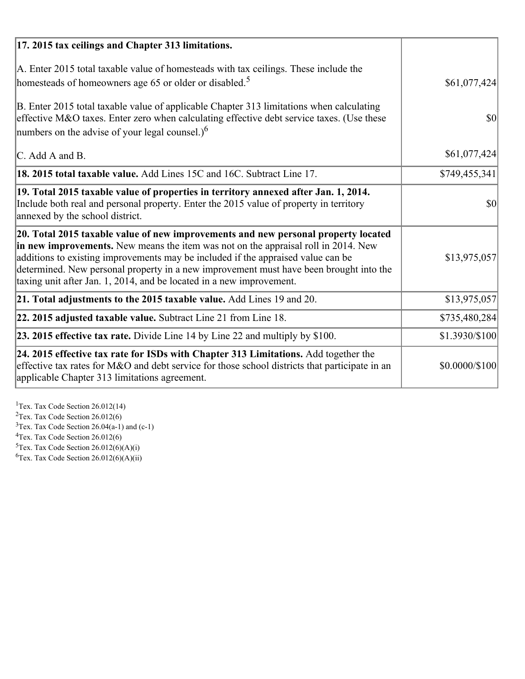| 17. 2015 tax ceilings and Chapter 313 limitations.                                                                                                                                                                                                                                                                                                                                                                             |                |
|--------------------------------------------------------------------------------------------------------------------------------------------------------------------------------------------------------------------------------------------------------------------------------------------------------------------------------------------------------------------------------------------------------------------------------|----------------|
| A. Enter 2015 total taxable value of homesteads with tax ceilings. These include the<br>homesteads of homeowners age 65 or older or disabled. <sup>5</sup>                                                                                                                                                                                                                                                                     | \$61,077,424   |
| B. Enter 2015 total taxable value of applicable Chapter 313 limitations when calculating<br>effective M&O taxes. Enter zero when calculating effective debt service taxes. (Use these<br>numbers on the advise of your legal counsel.) $6$                                                                                                                                                                                     | 30             |
| C. Add A and B.                                                                                                                                                                                                                                                                                                                                                                                                                | \$61,077,424   |
| 18. 2015 total taxable value. Add Lines 15C and 16C. Subtract Line 17.                                                                                                                                                                                                                                                                                                                                                         | \$749,455,341  |
| 19. Total 2015 taxable value of properties in territory annexed after Jan. 1, 2014.<br>Include both real and personal property. Enter the 2015 value of property in territory<br>annexed by the school district.                                                                                                                                                                                                               | $\vert$ \$0    |
| 20. Total 2015 taxable value of new improvements and new personal property located<br>in new improvements. New means the item was not on the appraisal roll in 2014. New<br>additions to existing improvements may be included if the appraised value can be<br>determined. New personal property in a new improvement must have been brought into the<br>taxing unit after Jan. 1, 2014, and be located in a new improvement. | \$13,975,057   |
| 21. Total adjustments to the 2015 taxable value. Add Lines 19 and 20.                                                                                                                                                                                                                                                                                                                                                          | \$13,975,057   |
| $ 22.2015$ adjusted taxable value. Subtract Line 21 from Line 18.                                                                                                                                                                                                                                                                                                                                                              | \$735,480,284  |
| <b>23. 2015 effective tax rate.</b> Divide Line 14 by Line 22 and multiply by \$100.                                                                                                                                                                                                                                                                                                                                           | \$1.3930/\$100 |
| 24. 2015 effective tax rate for ISDs with Chapter 313 Limitations. Add together the<br>effective tax rates for M&O and debt service for those school districts that participate in an<br>applicable Chapter 313 limitations agreement.                                                                                                                                                                                         | \$0.0000/\$100 |

<sup>1</sup>Tex. Tax Code Section 26.012(14)  $2$ Tex. Tax Code Section 26.012(6)  $3$ Tex. Tax Code Section 26.04(a-1) and (c-1)  $4$ Tex. Tax Code Section 26.012(6)  ${}^{5}$ Tex. Tax Code Section 26.012(6)(A)(i)

 ${}^{6}$ Tex. Tax Code Section 26.012(6)(A)(ii)